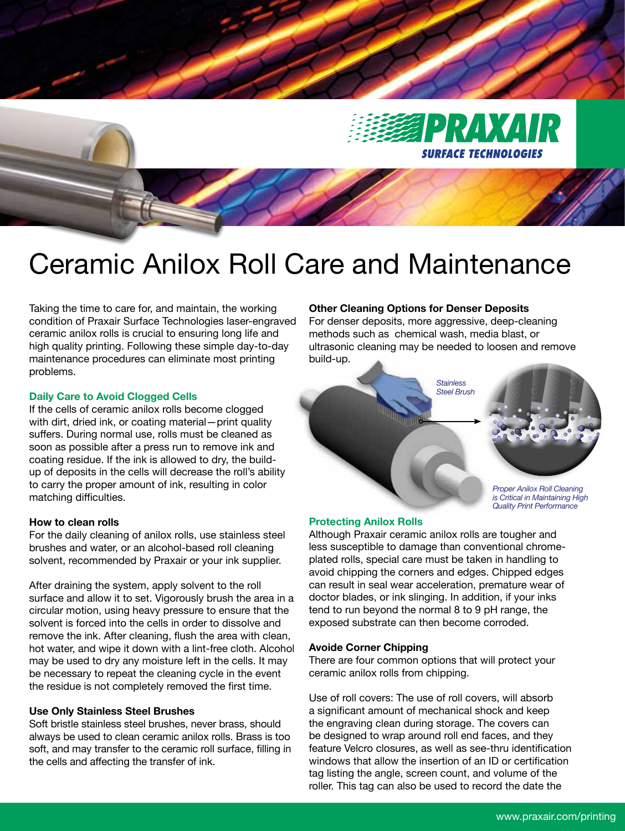

# Ceramic Anilox Roll Care and Maintenance

Taking the time to care for, and maintain, the working condition of Praxair Surface Technologies laser-engraved ceramic anilox rolls is crucial to ensuring long life and high quality printing. Following these simple day-to-day maintenance procedures can eliminate most printing problems.

#### **Daily Care to Avoid Clogged Cells**

If the cells of ceramic anilox rolls become clogged with dirt, dried ink, or coating material—print quality suffers. During normal use, rolls must be cleaned as soon as possible after a press run to remove ink and coating residue. If the ink is allowed to dry, the buildup of deposits in the cells will decrease the roll's ability to carry the proper amount of ink, resulting in color matching difficulties.

#### **How to clean rolls**

For the daily cleaning of anilox rolls, use stainless steel brushes and water, or an alcohol-based roll cleaning solvent, recommended by Praxair or your ink supplier.

After draining the system, apply solvent to the roll surface and allow it to set. Vigorously brush the area in a circular motion, using heavy pressure to ensure that the solvent is forced into the cells in order to dissolve and remove the ink. After cleaning, flush the area with clean, hot water, and wipe it down with a lint-free cloth. Alcohol may be used to dry any moisture left in the cells. It may be necessary to repeat the cleaning cycle in the event the residue is not completely removed the first time.

### **Use Only Stainless Steel Brushes**

Soft bristle stainless steel brushes, never brass, should always be used to clean ceramic anilox rolls. Brass is too soft, and may transfer to the ceramic roll surface, filling in the cells and affecting the transfer of ink.

## **Other Cleaning Options for Denser Deposits**

For denser deposits, more aggressive, deep-cleaning methods such as chemical wash, media blast, or ultrasonic cleaning may be needed to loosen and remove build-up.



#### **Protecting Anilox Rolls**

Although Praxair ceramic anilox rolls are tougher and less susceptible to damage than conventional chromeplated rolls, special care must be taken in handling to avoid chipping the corners and edges. Chipped edges can result in seal wear acceleration, premature wear of doctor blades, or ink slinging. In addition, if your inks tend to run beyond the normal 8 to 9 pH range, the exposed substrate can then become corroded.

#### **Avoide Corner Chipping**

There are four common options that will protect your ceramic anilox rolls from chipping.

Use of roll covers: The use of roll covers, will absorb a significant amount of mechanical shock and keep the engraving clean during storage. The covers can be designed to wrap around roll end faces, and they feature Velcro closures, as well as see-thru identification windows that allow the insertion of an ID or certification tag listing the angle, screen count, and volume of the roller. This tag can also be used to record the date the